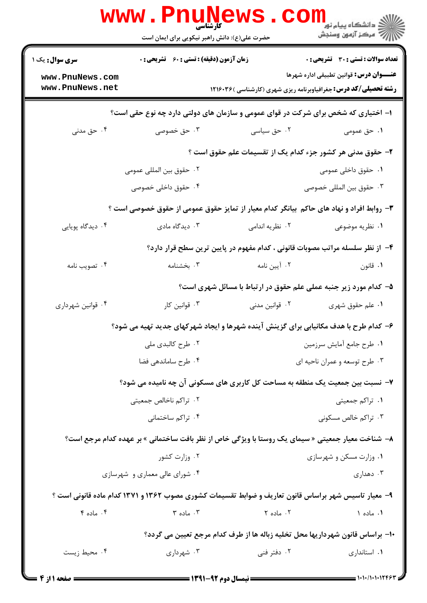|                                                                                                      | <b>WWW.Pnune</b>                            | حضرت علی(ع): دانش راهبر نیکویی برای ایمان است | ر دانشگاه پيام نور ■<br>// مرکز آزمون وسنجش                                                        |  |  |
|------------------------------------------------------------------------------------------------------|---------------------------------------------|-----------------------------------------------|----------------------------------------------------------------------------------------------------|--|--|
| <b>سری سوال :</b> یک ۱                                                                               | زمان آزمون (دقیقه) : تستی : 60 ٪ تشریحی : 0 |                                               | تعداد سوالات : تستي : 30 ٪ تشريحي : 0                                                              |  |  |
| www.PnuNews.com<br>www.PnuNews.net                                                                   |                                             |                                               | عنــــوان درس: قوانین تطبیقی اداره شهرها                                                           |  |  |
|                                                                                                      |                                             |                                               | <b>رشته تحصیلی/کد درس:</b> جغرافیاوبرنامه ریزی شهری (کارشناسی )۱۲۱۶۰۳۶                             |  |  |
|                                                                                                      |                                             |                                               | ۱– اختیاری که شخص برای شرکت در قوای عمومی و سازمان های دولتی دارد چه نوع حقی است؟                  |  |  |
| ۰۴ حق مدنی                                                                                           | ۰۳ حق خصوصی                                 | ۰۲ حق سیاسی                                   | ۰۱ حق عمومی                                                                                        |  |  |
|                                                                                                      |                                             |                                               | ۲– حقوق مدنی هر کشور جزء کدام یک از تقسیمات علم حقوق است ؟                                         |  |  |
|                                                                                                      | ۰۲ حقوق بين المللي عمومي                    |                                               | ۰۱ حقوق داخلی عمومی                                                                                |  |  |
|                                                                                                      | ۰۴ حقوق داخلی خصوصی                         |                                               | ۰۳ حقوق بين المللي خصوصي                                                                           |  |  |
|                                                                                                      |                                             |                                               | ۳- روابط افراد و نهاد های حاکم بیانگر کدام معیار از تمایز حقوق عمومی از حقوق خصوصی است ؟           |  |  |
| ۰۴ دیدگاه پویایی                                                                                     | ۰۳ دیدگاه مادی                              | ۰۲ نظریه اندامی                               | ۰۱ نظریه موضوعی                                                                                    |  |  |
|                                                                                                      |                                             |                                               | ۴- از نظر سلسله مراتب مصوبات قانونی ، کدام مفهوم در پایین ترین سطح قرار دارد؟                      |  |  |
| ۰۴ تصویب نامه                                                                                        | ۰۳ بخشنامه                                  | ۰۲ آیین نامه                                  | ۰۱ قانون                                                                                           |  |  |
|                                                                                                      |                                             |                                               | ۵- کدام مورد زیر جنبه عملی علم حقوق در ارتباط با مسائل شهری است؟                                   |  |  |
| ۰۴ قوانین شهرداری                                                                                    | ۰۳ قوانین کار                               | ۰۲ قوانین مدنی                                | ۰۱ علم حقوق شهری                                                                                   |  |  |
|                                                                                                      |                                             |                                               | ۶- کدام طرح با هدف مکانیابی برای گزینش آینده شهرها و ایجاد شهرکهای جدید تهیه می شود؟               |  |  |
|                                                                                                      | ۰۲ طرح کالبدی ملی                           |                                               | ٠١ طرح جامع أمايش سرزمين                                                                           |  |  |
|                                                                                                      | ۰۴ طرح ساماندهی فضا                         |                                               | ۰۳ طرح توسعه و عمران ناحیه ای                                                                      |  |  |
|                                                                                                      |                                             |                                               | ۷- نسبت بین جمعیت یک منطقه به مساحت کل کاربری های مسکونی آن چه نامیده می شود؟                      |  |  |
|                                                                                                      | ۰۲ تراکم ناخالص جمعیتی                      |                                               | ۰۱ تراکم جمعیتی                                                                                    |  |  |
|                                                                                                      | ۰۴ تراکم ساختمانی                           |                                               | ۰۳ تراکم خالص مسکونی                                                                               |  |  |
|                                                                                                      |                                             |                                               | ۸−  شناخت معیار جمعیتی « سیمای یک روستا با ویژگی خاص از نظر بافت ساختمانی » بر عهده کدام مرجع است؟ |  |  |
|                                                                                                      | ۰۲ وزارت کشور                               |                                               | ۰۱ وزارت مسکن و شهرسازی                                                                            |  |  |
|                                                                                                      | ۰۴ شورای عالی معماری و شهرسازی              |                                               | ۰۳ دهداری                                                                                          |  |  |
| ۹- معیار تاسیس شهر براساس قانون تعاریف و ضوابط تقسیمات کشوری مصوب ۱۳۶۲ و ۱۳۷۱ کدام ماده قانونی است ؟ |                                             |                                               |                                                                                                    |  |  |
| ۰۴ ماده ۴                                                                                            | $\mathfrak{r}$ ماده $\mathfrak{r}$          | ۰۲ ماده ۲                                     | ٠١ ماده ١                                                                                          |  |  |
|                                                                                                      |                                             |                                               | ∙ا– براساس قانون شهرداریها محل تخلیه زباله ها از طرف کدام مرجع تعیین می گردد؟                      |  |  |
| ۰۴ محیط زیست                                                                                         | ۰۳ شهرداری                                  | ۰۲ دفتر فنی                                   | ۰۱ استانداری                                                                                       |  |  |
|                                                                                                      |                                             |                                               | 1.1.0111866                                                                                        |  |  |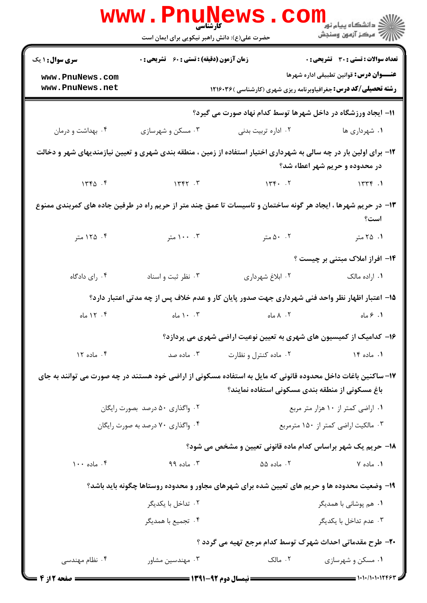|                                                                                                                                                     | <b>WWW.PNUNEWS</b><br><b>کارشناسی</b><br>حضرت علی(ع): دانش راهبر نیکویی برای ایمان است |                                                                                              | ڪ دانشڪاه پيام نور<br><mark>√</mark> مرڪز آزمون وسنڊش                                                                     |  |  |
|-----------------------------------------------------------------------------------------------------------------------------------------------------|----------------------------------------------------------------------------------------|----------------------------------------------------------------------------------------------|---------------------------------------------------------------------------------------------------------------------------|--|--|
| <b>سری سوال : ۱ یک</b>                                                                                                                              | <b>زمان آزمون (دقیقه) : تستی : 60 ٪ تشریحی : 0</b>                                     |                                                                                              | <b>تعداد سوالات : تستی : 30 - تشریحی : 0</b>                                                                              |  |  |
| www.PnuNews.com<br>www.PnuNews.net                                                                                                                  |                                                                                        |                                                                                              | <b>عنــــوان درس:</b> قوانین تطبیقی اداره شهرها<br><b>رشته تحصیلی/کد درس:</b> جغرافیاوبرنامه ریزی شهری (کارشناسی )۱۲۱۶۰۳۶ |  |  |
|                                                                                                                                                     |                                                                                        | 11- ایجاد ورزشگاه در داخل شهرها توسط کدام نهاد صورت می گیرد؟                                 |                                                                                                                           |  |  |
| ۰۴ بهداشت و درمان                                                                                                                                   | ۰۳ مسکن و شهرسازی                                                                      | ۰۲ اداره تربیت بدنی                                                                          | ۰۱ شهرداری ها                                                                                                             |  |  |
| ۱۲- برای اولین بار در چه سالی به شهرداری اختیار استفاده از زمین ، منطقه بندی شهری و تعیین نیازمندیهای شهر و دخالت<br>در محدوده و حریم شهر اعطاء شد؟ |                                                                                        |                                                                                              |                                                                                                                           |  |  |
| 156.5                                                                                                                                               | 1447.7                                                                                 | 14.7                                                                                         | 1575                                                                                                                      |  |  |
| ۱۳- در حریم شهرها ، ایجاد هر گونه ساختمان و تاسیسات تا عمق چند متر از حریم راه در طرفین جاده های کمربندی ممنوع<br>است؟                              |                                                                                        |                                                                                              |                                                                                                                           |  |  |
| ۰۴ ۱۲۵ متر                                                                                                                                          | ۰۰ ۱۰۰ متر                                                                             | ۰۰ ۵۰ متر                                                                                    | ۰۱ ۲۵ متر                                                                                                                 |  |  |
|                                                                                                                                                     |                                                                                        |                                                                                              | ۱۴- افراز املاک مبتنی بر چیست ؟                                                                                           |  |  |
| ۰۴ رای دادگاه                                                                                                                                       | ۰۳ نظر ثبت و اسناد                                                                     | ۰۲ ابلاغ شهرداری                                                                             | ۰۱ اراده مالک                                                                                                             |  |  |
|                                                                                                                                                     |                                                                                        |                                                                                              | ۱۵– اعتبار اظهار نظر واحد فنی شهرداری جهت صدور پایان کار و عدم خلاف پس از چه مدتی اعتبار دارد؟                            |  |  |
| ۰۴ ۱۲ ماه                                                                                                                                           | ۰. ۱۰ ماه                                                                              | ۰۲ ۸ ماه                                                                                     | ۱. ۶ ماه                                                                                                                  |  |  |
|                                                                                                                                                     |                                                                                        |                                                                                              | ۱۶– کدامیک از کمیسیون های شهری به تعیین نوعیت اراضی شهری می پردازد؟                                                       |  |  |
| ۰۴ ماده ۱۲                                                                                                                                          | ۰۳ ماده صد                                                                             | ۰۲ ماده کنترل و نظارت                                                                        | ۱. ماده ۱۴                                                                                                                |  |  |
| ۱۷– ساکنین باغات داخل محدوده قانونی که مایل به استفاده مسکونی از اراضی خود هستند در چه صورت می توانند به جای                                        |                                                                                        | باغ مسکونی از منطقه بندی مسکونی استفاده نمایند؟                                              |                                                                                                                           |  |  |
| ۰۲ واگذاری ۵۰ درصد بصورت رایگان                                                                                                                     |                                                                                        | ۰۱ اراضی کمتر از ۱۰ هزار متر مربع                                                            |                                                                                                                           |  |  |
|                                                                                                                                                     | ۰۴ واگذاري ۷۰ درصد به صورت رايگان                                                      |                                                                                              | ۰۳ مالکیت اراضی کمتر از ۱۵۰ مترمربع                                                                                       |  |  |
|                                                                                                                                                     |                                                                                        |                                                                                              | ۱۸– حریم یک شهر براساس کدام ماده قانونی تعیین و مشخص می شود؟                                                              |  |  |
| ۰۴ ماده ۱۰۰                                                                                                                                         | ۰۳ ماده ۹۹                                                                             | ۰۲ ماده ۵۵                                                                                   | ۰۱ ماده ۷                                                                                                                 |  |  |
|                                                                                                                                                     |                                                                                        | ۱۹- وضعیت محدوده ها و حریم های تعیین شده برای شهرهای مجاور و محدوده روستاها چگونه باید باشد؟ |                                                                                                                           |  |  |
|                                                                                                                                                     | ۰۲ تداخل با یکدیگر                                                                     |                                                                                              | <b>۱</b> .  هم پوشانی با همدیگر                                                                                           |  |  |
|                                                                                                                                                     | ۰۴ تجميع با همديگر                                                                     |                                                                                              | ۰۳ عدم تداخل با یکدیگر                                                                                                    |  |  |
|                                                                                                                                                     |                                                                                        |                                                                                              | ۲۰– طرح مقدماتی احداث شهرک توسط کدام مرجع تهیه می گردد ؟                                                                  |  |  |
| ۰۴ نظام مهندسی                                                                                                                                      | ۰۳ مهندسین مشاور                                                                       | ۰۲ مالک                                                                                      | ۰۱ مسکن و شهرسازی                                                                                                         |  |  |
| <b>= صفحه 2 از 4</b> =                                                                                                                              |                                                                                        |                                                                                              | $\frac{1}{1}$ 1.1./1.1.12999                                                                                              |  |  |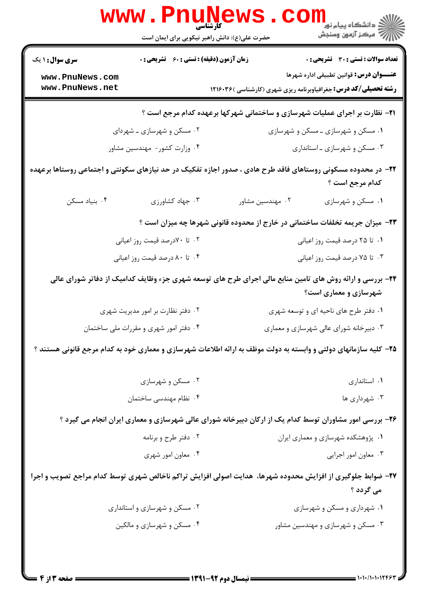| <b>WWW</b>                                                                                                                      |                                                  | حضرت علی(ع): دانش راهبر نیکویی برای ایمان است |                                         | ر دانشڪاه پيام نور <mark>−</mark><br>ا∛ مرکز آزمون وسنڊش                                                                          |  |
|---------------------------------------------------------------------------------------------------------------------------------|--------------------------------------------------|-----------------------------------------------|-----------------------------------------|-----------------------------------------------------------------------------------------------------------------------------------|--|
| <b>سری سوال :</b> ۱ یک                                                                                                          | <b>زمان آزمون (دقیقه) : تستی : 60 گشریحی : 0</b> |                                               |                                         | <b>تعداد سوالات : تستی : 30 ٪ تشریحی : 0</b>                                                                                      |  |
| www.PnuNews.com<br>www.PnuNews.net                                                                                              |                                                  |                                               |                                         | عنـــوان درس: قوانین تطبیقی اداره شهرها<br><b>رشته تحصیلی/کد درس:</b> جغرافیاوبرنامه ریزی شهری (کارشناسی )۱۲۱۶۰۳۶                 |  |
| <b>۲۱</b> - نظارت بر اجرای عملیات شهرسازی و ساختمانی شهرکها برعهده کدام مرجع است ؟                                              |                                                  |                                               |                                         |                                                                                                                                   |  |
|                                                                                                                                 | ۰۲ مسکن و شهرسازی ــ شهردای                      |                                               |                                         | ۰۱ مسکن و شهرسازی ـ مسکن و شهرسازی                                                                                                |  |
|                                                                                                                                 | ۰۴ وزارت کشور- مهندسین مشاور                     |                                               |                                         | ۰۳ مسکن و شهرسازی ـ استانداری                                                                                                     |  |
| ۲۲– در محدوده مسکونی روستاهای فاقد طرح هادی ، صدور اجازه تفکیک در حد نیازهای سکونتی و اجتماعی روستاها برعهده<br>كدام مرجع است ؟ |                                                  |                                               |                                         |                                                                                                                                   |  |
| ۰۴ بنیاد مسکن                                                                                                                   | ۰۳ جهاد کشاورزی                                  | ۰۲ مهندسین مشاور                              |                                         | ۰۱ مسکن و شهرسازی                                                                                                                 |  |
| ۲۳- میزان جریمه تخلفات ساختمانی در خارج از محدوده قانونی شهرها چه میزان است ؟                                                   |                                                  |                                               |                                         |                                                                                                                                   |  |
|                                                                                                                                 | ۰۲ تا ۷۰درصد قیمت روز اعیانی                     |                                               |                                         | ۰۱ تا ۲۵ درصد قیمت روز اعیانی                                                                                                     |  |
| ۰۴ تا ۸۰ درصد قیمت روز اعیانی                                                                                                   |                                                  |                                               | ۰۳ تا ۷۵ درصد قیمت روز اعیانی           |                                                                                                                                   |  |
|                                                                                                                                 |                                                  |                                               |                                         | ۲۴- بررسی و ارائه روش های تامین منابع مالی اجرای طرح های توسعه شهری جزء وظایف کدامیک از دفاتر شورای عالی<br>شهرسازی و معماری است؟ |  |
|                                                                                                                                 | ۰۲ دفتر نظارت بر امور مدیریت شهری                |                                               |                                         | ۰۱ دفتر طرح های ناحیه ای و توسعه شهری                                                                                             |  |
|                                                                                                                                 | ۰۴ دفتر امور شهری و مقررات ملی ساختمان           |                                               | ۰۳ دبیرخانه شورای عالی شهرسازی و معماری |                                                                                                                                   |  |
| ۲۵- کلیه سازمانهای دولتی و وابسته به دولت موظف به ارائه اطلاعات شهرسازی و معماری خود به کدام مرجع قانونی هستند ؟                |                                                  |                                               |                                         |                                                                                                                                   |  |
|                                                                                                                                 | ۰۲ مسکن و شهرسازی                                |                                               |                                         | ٠١ استاندارى                                                                                                                      |  |
|                                                                                                                                 | ۰۴ نظام مهندسی ساختمان                           |                                               |                                         | ۰۳ شهرداری ها                                                                                                                     |  |
|                                                                                                                                 |                                                  |                                               |                                         | ۲۶- بررسی امور مشاوران توسط کدام یک از ارکان دبیرخانه شورای عالی شهرسازی و معماری ایران انجام می گیرد ؟                           |  |
|                                                                                                                                 | ۰۲ دفتر طرح و برنامه                             |                                               |                                         | ۰۱ پژوهشکده شهرسازی و معماری ایران                                                                                                |  |
|                                                                                                                                 | ۰۴ معاون امور شهری                               |                                               |                                         | ۰۳ معاون امور اجرایی                                                                                                              |  |
| ۲۷- ضوابط جلوگیری از افزایش محدوده شهرها،  هدایت اصولی افزایش تراکم ناخالص شهری توسط کدام مراجع تصویب و اجرا<br>می گردد ؟       |                                                  |                                               |                                         |                                                                                                                                   |  |
|                                                                                                                                 | ۰۲ مسکن و شهرسازی و استانداری                    |                                               |                                         | ۰۱ شهرداری و مسکن و شهرسازی                                                                                                       |  |
|                                                                                                                                 | ۰۴ مسکن و شهرسازی و مالکین                       |                                               |                                         | ۰۳ مسکن و شهرسازی و مهندسین مشاور                                                                                                 |  |
|                                                                                                                                 |                                                  |                                               |                                         |                                                                                                                                   |  |